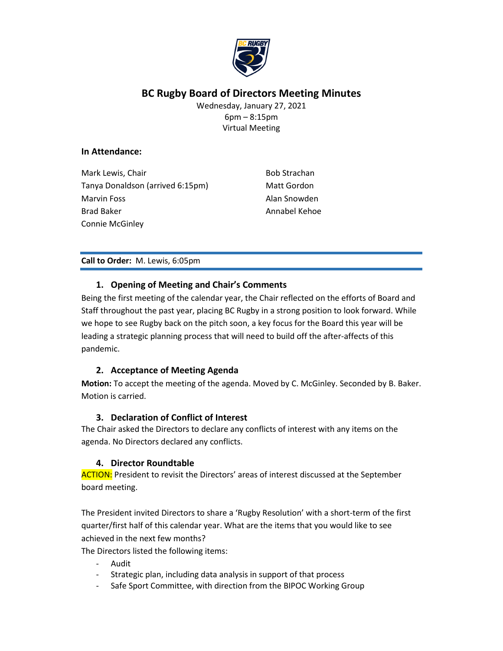

# **BC Rugby Board of Directors Meeting Minutes**

Wednesday, January 27, 2021 6pm – 8:15pm Virtual Meeting

#### **In Attendance:**

Mark Lewis, Chair Tanya Donaldson (arrived 6:15pm) Marvin Foss Brad Baker Connie McGinley

Bob Strachan Matt Gordon Alan Snowden Annabel Kehoe

#### **Call to Order:** M. Lewis, 6:05pm

## **1. Opening of Meeting and Chair's Comments**

Being the first meeting of the calendar year, the Chair reflected on the efforts of Board and Staff throughout the past year, placing BC Rugby in a strong position to look forward. While we hope to see Rugby back on the pitch soon, a key focus for the Board this year will be leading a strategic planning process that will need to build off the after-affects of this pandemic.

#### **2. Acceptance of Meeting Agenda**

**Motion:** To accept the meeting of the agenda. Moved by C. McGinley. Seconded by B. Baker. Motion is carried.

#### **3. Declaration of Conflict of Interest**

The Chair asked the Directors to declare any conflicts of interest with any items on the agenda. No Directors declared any conflicts.

#### **4. Director Roundtable**

ACTION: President to revisit the Directors' areas of interest discussed at the September board meeting.

The President invited Directors to share a 'Rugby Resolution' with a short-term of the first quarter/first half of this calendar year. What are the items that you would like to see achieved in the next few months?

The Directors listed the following items:

- Audit
- Strategic plan, including data analysis in support of that process
- Safe Sport Committee, with direction from the BIPOC Working Group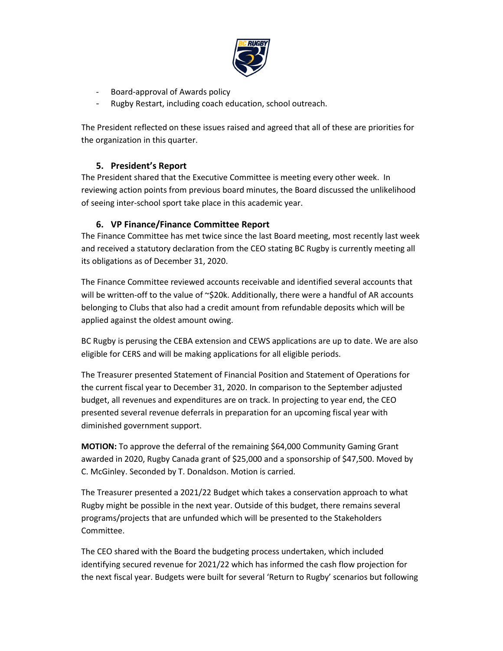

- Board-approval of Awards policy
- Rugby Restart, including coach education, school outreach.

The President reflected on these issues raised and agreed that all of these are priorities for the organization in this quarter.

## **5. President's Report**

The President shared that the Executive Committee is meeting every other week. In reviewing action points from previous board minutes, the Board discussed the unlikelihood of seeing inter-school sport take place in this academic year.

## **6. VP Finance/Finance Committee Report**

The Finance Committee has met twice since the last Board meeting, most recently last week and received a statutory declaration from the CEO stating BC Rugby is currently meeting all its obligations as of December 31, 2020.

The Finance Committee reviewed accounts receivable and identified several accounts that will be written-off to the value of  $\sim$ \$20k. Additionally, there were a handful of AR accounts belonging to Clubs that also had a credit amount from refundable deposits which will be applied against the oldest amount owing.

BC Rugby is perusing the CEBA extension and CEWS applications are up to date. We are also eligible for CERS and will be making applications for all eligible periods.

The Treasurer presented Statement of Financial Position and Statement of Operations for the current fiscal year to December 31, 2020. In comparison to the September adjusted budget, all revenues and expenditures are on track. In projecting to year end, the CEO presented several revenue deferrals in preparation for an upcoming fiscal year with diminished government support.

**MOTION:** To approve the deferral of the remaining \$64,000 Community Gaming Grant awarded in 2020, Rugby Canada grant of \$25,000 and a sponsorship of \$47,500. Moved by C. McGinley. Seconded by T. Donaldson. Motion is carried.

The Treasurer presented a 2021/22 Budget which takes a conservation approach to what Rugby might be possible in the next year. Outside of this budget, there remains several programs/projects that are unfunded which will be presented to the Stakeholders Committee.

The CEO shared with the Board the budgeting process undertaken, which included identifying secured revenue for 2021/22 which has informed the cash flow projection for the next fiscal year. Budgets were built for several 'Return to Rugby' scenarios but following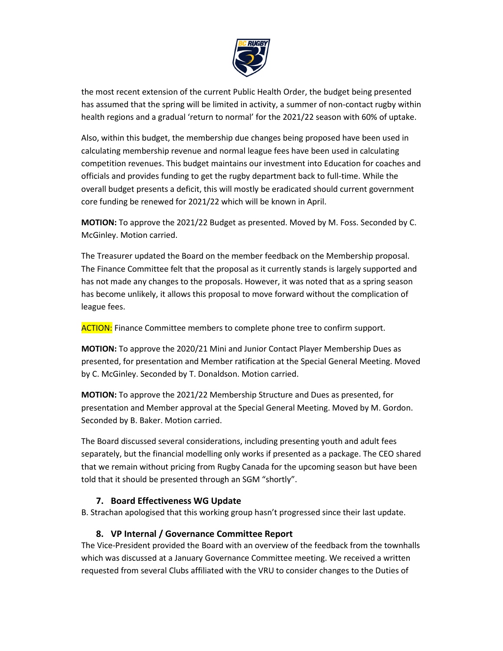

the most recent extension of the current Public Health Order, the budget being presented has assumed that the spring will be limited in activity, a summer of non-contact rugby within health regions and a gradual 'return to normal' for the 2021/22 season with 60% of uptake.

Also, within this budget, the membership due changes being proposed have been used in calculating membership revenue and normal league fees have been used in calculating competition revenues. This budget maintains our investment into Education for coaches and officials and provides funding to get the rugby department back to full-time. While the overall budget presents a deficit, this will mostly be eradicated should current government core funding be renewed for 2021/22 which will be known in April.

**MOTION:** To approve the 2021/22 Budget as presented. Moved by M. Foss. Seconded by C. McGinley. Motion carried.

The Treasurer updated the Board on the member feedback on the Membership proposal. The Finance Committee felt that the proposal as it currently stands is largely supported and has not made any changes to the proposals. However, it was noted that as a spring season has become unlikely, it allows this proposal to move forward without the complication of league fees.

**ACTION:** Finance Committee members to complete phone tree to confirm support.

**MOTION:** To approve the 2020/21 Mini and Junior Contact Player Membership Dues as presented, for presentation and Member ratification at the Special General Meeting. Moved by C. McGinley. Seconded by T. Donaldson. Motion carried.

**MOTION:** To approve the 2021/22 Membership Structure and Dues as presented, for presentation and Member approval at the Special General Meeting. Moved by M. Gordon. Seconded by B. Baker. Motion carried.

The Board discussed several considerations, including presenting youth and adult fees separately, but the financial modelling only works if presented as a package. The CEO shared that we remain without pricing from Rugby Canada for the upcoming season but have been told that it should be presented through an SGM "shortly".

#### **7. Board Effectiveness WG Update**

B. Strachan apologised that this working group hasn't progressed since their last update.

# **8. VP Internal / Governance Committee Report**

The Vice-President provided the Board with an overview of the feedback from the townhalls which was discussed at a January Governance Committee meeting. We received a written requested from several Clubs affiliated with the VRU to consider changes to the Duties of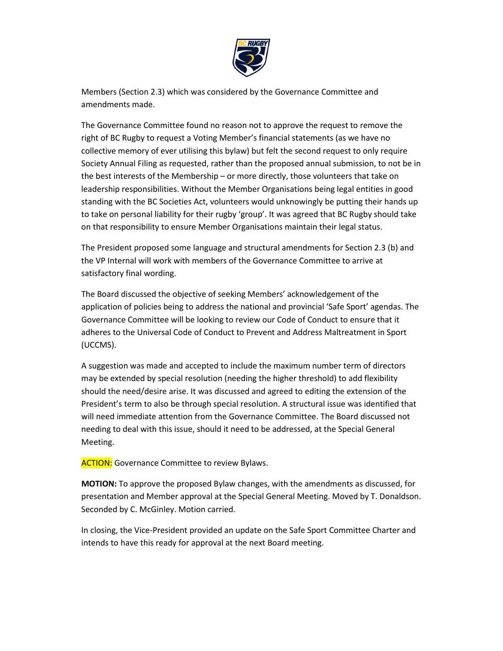

Members (Section 2.3) which was considered by the Governance Committee and amendments made.

The Governance Committee found no reason not to approve the request to remove the right of BC Rugby to request a Voting Member's financial statements (as we have no collective memory of ever utilising this bylaw) but felt the second request to only require Society Annual Filing as requested, rather than the proposed annual submission, to not be in the best interests of the Membership – or more directly, those volunteers that take on leadership responsibilities. Without the Member Organisations being legal entities in good standing with the BC Societies Act, volunteers would unknowingly be putting their hands up to take on personal liability for their rugby 'group'. It was agreed that BC Rugby should take on that responsibility to ensure Member Organisations maintain their legal status.

The President proposed some language and structural amendments for Section 2.3 (b) and the VP Internal will work with members of the Governance Committee to arrive at satisfactory final wording.

The Board discussed the objective of seeking Members' acknowledgement of the application of policies being to address the national and provincial 'Safe Sport' agendas. The Governance Committee will be looking to review our Code of Conduct to ensure that it adheres to the Universal Code of Conduct to Prevent and Address Maltreatment in Sport (UCCMS).

A suggestion was made and accepted to include the maximum number term of directors may be extended by special resolution (needing the higher threshold) to add flexibility should the need/desire arise. It was discussed and agreed to editing the extension of the President's term to also be through special resolution. A structural issue was identified that will need immediate attention from the Governance Committee. The Board discussed not needing to deal with this issue, should it need to be addressed, at the Special General Meeting.

**ACTION:** Governance Committee to review Bylaws.

**MOTION:** To approve the proposed Bylaw changes, with the amendments as discussed, for presentation and Member approval at the Special General Meeting. Moved by T. Donaldson. Seconded by C. McGinley. Motion carried.

In closing, the Vice-President provided an update on the Safe Sport Committee Charter and intends to have this ready for approval at the next Board meeting.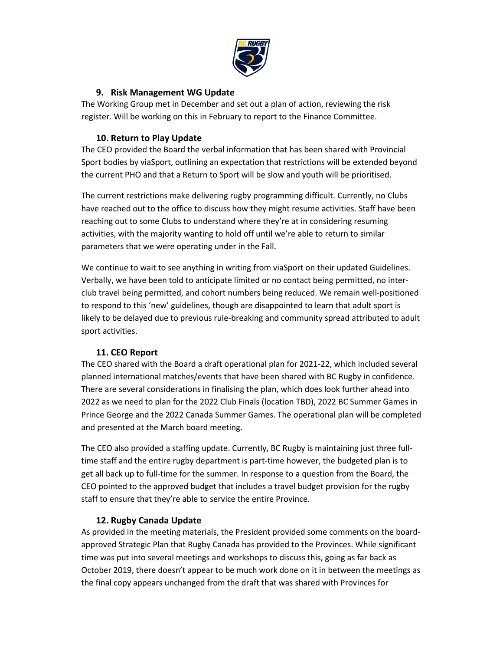

### **9. Risk Management WG Update**

The Working Group met in December and set out a plan of action, reviewing the risk register. Will be working on this in February to report to the Finance Committee.

## **10. Return to Play Update**

The CEO provided the Board the verbal information that has been shared with Provincial Sport bodies by viaSport, outlining an expectation that restrictions will be extended beyond the current PHO and that a Return to Sport will be slow and youth will be prioritised.

The current restrictions make delivering rugby programming difficult. Currently, no Clubs have reached out to the office to discuss how they might resume activities. Staff have been reaching out to some Clubs to understand where they're at in considering resuming activities, with the majority wanting to hold off until we're able to return to similar parameters that we were operating under in the Fall.

We continue to wait to see anything in writing from viaSport on their updated Guidelines. Verbally, we have been told to anticipate limited or no contact being permitted, no interclub travel being permitted, and cohort numbers being reduced. We remain well-positioned to respond to this 'new' guidelines, though are disappointed to learn that adult sport is likely to be delayed due to previous rule-breaking and community spread attributed to adult sport activities.

# **11. CEO Report**

The CEO shared with the Board a draft operational plan for 2021-22, which included several planned international matches/events that have been shared with BC Rugby in confidence. There are several considerations in finalising the plan, which does look further ahead into 2022 as we need to plan for the 2022 Club Finals (location TBD), 2022 BC Summer Games in Prince George and the 2022 Canada Summer Games. The operational plan will be completed and presented at the March board meeting.

The CEO also provided a staffing update. Currently, BC Rugby is maintaining just three fulltime staff and the entire rugby department is part-time however, the budgeted plan is to get all back up to full-time for the summer. In response to a question from the Board, the CEO pointed to the approved budget that includes a travel budget provision for the rugby staff to ensure that they're able to service the entire Province.

# **12. Rugby Canada Update**

As provided in the meeting materials, the President provided some comments on the boardapproved Strategic Plan that Rugby Canada has provided to the Provinces. While significant time was put into several meetings and workshops to discuss this, going as far back as October 2019, there doesn't appear to be much work done on it in between the meetings as the final copy appears unchanged from the draft that was shared with Provinces for